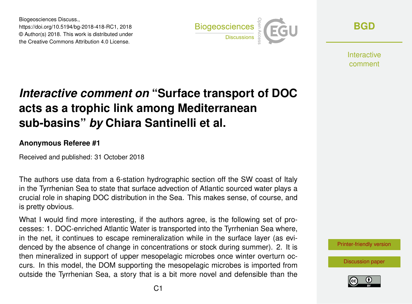Biogeosciences Discuss., https://doi.org/10.5194/bg-2018-418-RC1, 2018 © Author(s) 2018. This work is distributed under the Creative Commons Attribution 4.0 License.



**[BGD](https://www.biogeosciences-discuss.net/)**

**Interactive** comment

## *Interactive comment on* **"Surface transport of DOC acts as a trophic link among Mediterranean sub-basins"** *by* **Chiara Santinelli et al.**

## **Anonymous Referee #1**

Received and published: 31 October 2018

The authors use data from a 6-station hydrographic section off the SW coast of Italy in the Tyrrhenian Sea to state that surface advection of Atlantic sourced water plays a crucial role in shaping DOC distribution in the Sea. This makes sense, of course, and is pretty obvious.

What I would find more interesting, if the authors agree, is the following set of processes: 1. DOC-enriched Atlantic Water is transported into the Tyrrhenian Sea where, in the net, it continues to escape remineralization while in the surface layer (as evidenced by the absence of change in concentrations or stock during summer). 2. It is then mineralized in support of upper mesopelagic microbes once winter overturn occurs. In this model, the DOM supporting the mesopelagic microbes is imported from outside the Tyrrhenian Sea, a story that is a bit more novel and defensible than the



[Discussion paper](https://www.biogeosciences-discuss.net/bg-2018-418)

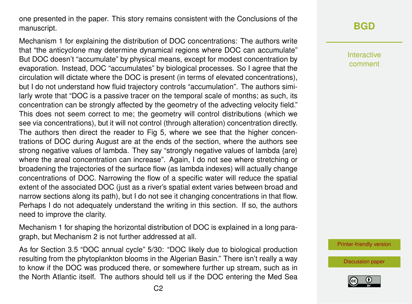one presented in the paper. This story remains consistent with the Conclusions of the manuscript.

Mechanism 1 for explaining the distribution of DOC concentrations: The authors write that "the anticyclone may determine dynamical regions where DOC can accumulate" But DOC doesn't "accumulate" by physical means, except for modest concentration by evaporation. Instead, DOC "accumulates" by biological processes. So I agree that the circulation will dictate where the DOC is present (in terms of elevated concentrations), but I do not understand how fluid trajectory controls "accumulation". The authors similarly wrote that "DOC is a passive tracer on the temporal scale of months; as such, its concentration can be strongly affected by the geometry of the advecting velocity field." This does not seem correct to me; the geometry will control distributions (which we see via concentrations), but it will not control (through alteration) concentration directly. The authors then direct the reader to Fig 5, where we see that the higher concentrations of DOC during August are at the ends of the section, where the authors see strong negative values of lambda. They say "strongly negative values of lambda {are} where the areal concentration can increase". Again, I do not see where stretching or broadening the trajectories of the surface flow (as lambda indexes) will actually change concentrations of DOC. Narrowing the flow of a specific water will reduce the spatial extent of the associated DOC (just as a river's spatial extent varies between broad and narrow sections along its path), but I do not see it changing concentrations in that flow. Perhaps I do not adequately understand the writing in this section. If so, the authors need to improve the clarity.

Mechanism 1 for shaping the horizontal distribution of DOC is explained in a long paragraph, but Mechanism 2 is not further addressed at all.

As for Section 3.5 "DOC annual cycle" 5/30: "DOC likely due to biological production resulting from the phytoplankton blooms in the Algerian Basin." There isn't really a way to know if the DOC was produced there, or somewhere further up stream, such as in the North Atlantic itself. The authors should tell us if the DOC entering the Med Sea

## **[BGD](https://www.biogeosciences-discuss.net/)**

Interactive comment

[Printer-friendly version](https://www.biogeosciences-discuss.net/bg-2018-418/bg-2018-418-RC1-print.pdf)

[Discussion paper](https://www.biogeosciences-discuss.net/bg-2018-418)